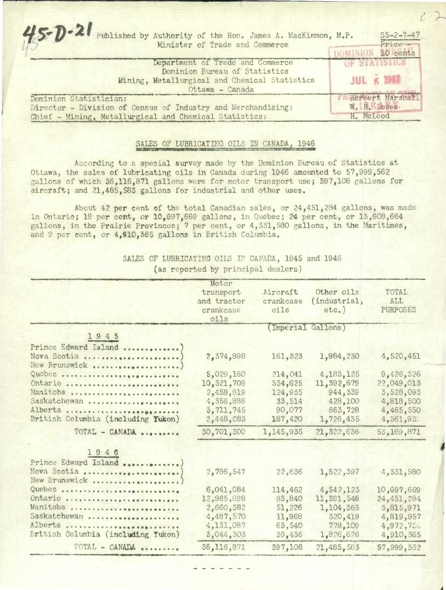$5 - D - 21$ Published by Authority of the Hon. James A. MacKinnon, M.P. S5-2-7-47 Minister of Trade and Commerce - Price DOMINION 10 cents Department of Trade and Commerce OF STATISTICS Dominion Bureau of Statistics **JUL 6 1957** Mining, Metallurgical and Chemical Statistics Ottawa - Canada Dominion Statistician: <br>Director - Division of Census of Industry and Merchandising: W.H. Losee Director - Division of Census of Industry and Merchandising: W.H. Lose<br>Chief - Mining, Metallurgical and Chemical Statistics: H. McLeod Chief - Mining, Metallurgical and Chemical Statistics:

## SALES OF LUBRICATING OILS IN CANADA, 1946

According to a special survey made by the Dominion Bureau of Statistics at Ottawa, the sales of lubricating oils in Canada during 1946 amounted to 57,999,562 gallons of which 36,116,871 gallons were for motor transport use; 597,108 gallons for aircraft; and 21,485,583 gallons for industrial and other uses.

About 42 **per** cent of the total Canadian sales, or 24,451,284 gallons, was made in Ontario; 18 per cent, or 10,697,669 gallons, in Quebec; 24 per cent, or 13,608,664 gallons, in the Prairie Provinces; 7 per cent, or 4,331,580 gallons, in the Marithnes, and 9 per cent, or 4,910,365 gallons in British Columbia.

> SALES OF LUBRICATING OILS IN CANADA, 1945 and 1946 (as reported by principal dealers)

|                                    | Motor                    |                   |                          |                               |
|------------------------------------|--------------------------|-------------------|--------------------------|-------------------------------|
|                                    | transport                | Aircraft          | Other oils               | TOTAL.                        |
|                                    | and tractor<br>crankcase | crankcase<br>oils | (industrial,<br>$etc.$ ) | <b>ALL</b><br><b>PURPOSES</b> |
|                                    |                          |                   |                          |                               |
|                                    | oils                     |                   |                          |                               |
|                                    | (Imperial Gallons)       |                   |                          |                               |
| 1945                               |                          |                   |                          |                               |
| Prince Edward Island               |                          |                   |                          |                               |
| Nova Scotia                        | 2,374,898                | 161,323           | 1,984,230                | 4,520,451                     |
| New Brunswick                      |                          |                   |                          |                               |
| Quobec                             | 5,029,160                | 214,041           | 4, 183, 125              | 9,426,326                     |
| Ontario                            | 10,321,709               | 334,625           | 11,392,679               | 22,049,013                    |
| Manitoba                           | 2,458,819                | 124,935           | 944,339                  | 3,528,093                     |
| Saskatchewan                       | 4,356,886                | 33,514            | 428,100                  | 4,818,500                     |
| Alberta                            | 3,711,745                | 90,077            | 663,728                  | 4,465,550                     |
| British Columbia (including Yukon) | 2,448,083                | 187,420           | 1,726,435                | 4,361,931                     |
| TOTAL - CANADA                     | 30,701,300               | 1,145,935         | 21,322,636               | 53,169,871                    |
| 1946                               |                          |                   |                          |                               |
| Prince Edward Island               |                          |                   |                          |                               |
| Nova Scotia                        | 2,786,547                | 22,636            | 1,522,397                | 4,331,580                     |
| New Brunswick                      |                          |                   |                          |                               |
| Quebec                             | 6,041,084                | 114,462           | 4,542,123                | 10,697,669                    |
| Ontario                            | 12,965,898               | 93,840            | 11,391,546               | 24,451,284                    |
| Manitoba                           | 2,660,382                | 51,226            | 1,104,363                | 3,815,971                     |
| Saskatchewan                       | 4,487,570                | 11,968            | 320,419                  | 4,819,957                     |
| Alberta                            | 4,131,087                | 63,540            | 778,109                  | 4,972,750                     |
| British Columbia (including Yukon) | 3,044,303                | 39,436            | 1,826,626                | 4,910,365                     |
| TOTAL - CANADA                     | 36,116,871               | 397,108           | 21,485,583               | 57,999,562                    |